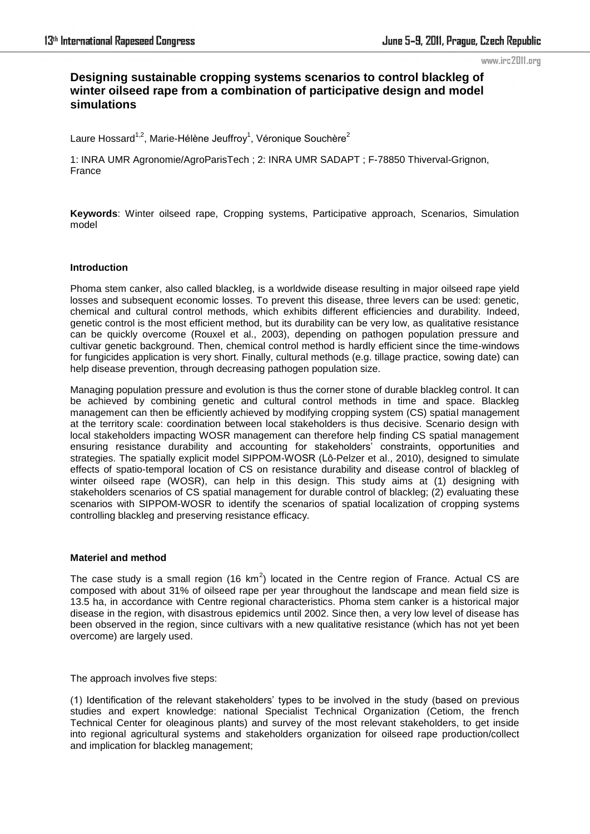# **Designing sustainable cropping systems scenarios to control blackleg of winter oilseed rape from a combination of participative design and model simulations**

Laure Hossard<sup>1,2</sup>, Marie-Hélène Jeuffroy<sup>1</sup>, Véronique Souchère<sup>2</sup>

1: INRA UMR Agronomie/AgroParisTech ; 2: INRA UMR SADAPT ; F-78850 Thiverval-Grignon, France

**Keywords**: Winter oilseed rape, Cropping systems, Participative approach, Scenarios, Simulation model

# **Introduction**

Phoma stem canker, also called blackleg, is a worldwide disease resulting in major oilseed rape yield losses and subsequent economic losses. To prevent this disease, three levers can be used: genetic, chemical and cultural control methods, which exhibits different efficiencies and durability. Indeed, genetic control is the most efficient method, but its durability can be very low, as qualitative resistance can be quickly overcome (Rouxel et al., 2003), depending on pathogen population pressure and cultivar genetic background. Then, chemical control method is hardly efficient since the time-windows for fungicides application is very short. Finally, cultural methods (e.g. tillage practice, sowing date) can help disease prevention, through decreasing pathogen population size.

Managing population pressure and evolution is thus the corner stone of durable blackleg control. It can be achieved by combining genetic and cultural control methods in time and space. Blackleg management can then be efficiently achieved by modifying cropping system (CS) spatial management at the territory scale: coordination between local stakeholders is thus decisive. Scenario design with local stakeholders impacting WOSR management can therefore help finding CS spatial management ensuring resistance durability and accounting for stakeholders' constraints, opportunities and strategies. The spatially explicit model SIPPOM-WOSR (Lô-Pelzer et al., 2010), designed to simulate effects of spatio-temporal location of CS on resistance durability and disease control of blackleg of winter oilseed rape (WOSR), can help in this design. This study aims at (1) designing with stakeholders scenarios of CS spatial management for durable control of blackleg; (2) evaluating these scenarios with SIPPOM-WOSR to identify the scenarios of spatial localization of cropping systems controlling blackleg and preserving resistance efficacy.

### **Materiel and method**

The case study is a small region (16 km<sup>2</sup>) located in the Centre region of France. Actual CS are composed with about 31% of oilseed rape per year throughout the landscape and mean field size is 13.5 ha, in accordance with Centre regional characteristics. Phoma stem canker is a historical major disease in the region, with disastrous epidemics until 2002. Since then, a very low level of disease has been observed in the region, since cultivars with a new qualitative resistance (which has not yet been overcome) are largely used.

The approach involves five steps:

(1) Identification of the relevant stakeholders' types to be involved in the study (based on previous studies and expert knowledge: national Specialist Technical Organization (Cetiom, the french Technical Center for oleaginous plants) and survey of the most relevant stakeholders, to get inside into regional agricultural systems and stakeholders organization for oilseed rape production/collect and implication for blackleg management;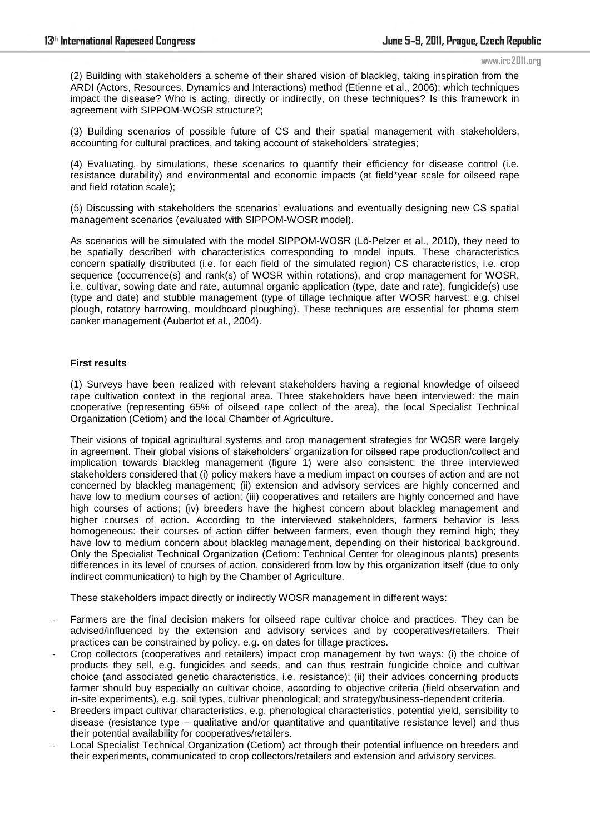(2) Building with stakeholders a scheme of their shared vision of blackleg, taking inspiration from the ARDI (Actors, Resources, Dynamics and Interactions) method (Etienne et al., 2006): which techniques impact the disease? Who is acting, directly or indirectly, on these techniques? Is this framework in agreement with SIPPOM-WOSR structure?;

(3) Building scenarios of possible future of CS and their spatial management with stakeholders, accounting for cultural practices, and taking account of stakeholders' strategies;

(4) Evaluating, by simulations, these scenarios to quantify their efficiency for disease control (i.e. resistance durability) and environmental and economic impacts (at field\*year scale for oilseed rape and field rotation scale);

(5) Discussing with stakeholders the scenarios' evaluations and eventually designing new CS spatial management scenarios (evaluated with SIPPOM-WOSR model).

As scenarios will be simulated with the model SIPPOM-WOSR (Lô-Pelzer et al., 2010), they need to be spatially described with characteristics corresponding to model inputs. These characteristics concern spatially distributed (i.e. for each field of the simulated region) CS characteristics, i.e. crop sequence (occurrence(s) and rank(s) of WOSR within rotations), and crop management for WOSR, i.e. cultivar, sowing date and rate, autumnal organic application (type, date and rate), fungicide(s) use (type and date) and stubble management (type of tillage technique after WOSR harvest: e.g. chisel plough, rotatory harrowing, mouldboard ploughing). These techniques are essential for phoma stem canker management (Aubertot et al., 2004).

# **First results**

(1) Surveys have been realized with relevant stakeholders having a regional knowledge of oilseed rape cultivation context in the regional area. Three stakeholders have been interviewed: the main cooperative (representing 65% of oilseed rape collect of the area), the local Specialist Technical Organization (Cetiom) and the local Chamber of Agriculture.

Their visions of topical agricultural systems and crop management strategies for WOSR were largely in agreement. Their global visions of stakeholders' organization for oilseed rape production/collect and implication towards blackleg management (figure 1) were also consistent: the three interviewed stakeholders considered that (i) policy makers have a medium impact on courses of action and are not concerned by blackleg management; (ii) extension and advisory services are highly concerned and have low to medium courses of action; (iii) cooperatives and retailers are highly concerned and have high courses of actions; (iv) breeders have the highest concern about blackleg management and higher courses of action. According to the interviewed stakeholders, farmers behavior is less homogeneous: their courses of action differ between farmers, even though they remind high; they have low to medium concern about blackleg management, depending on their historical background. Only the Specialist Technical Organization (Cetiom: Technical Center for oleaginous plants) presents differences in its level of courses of action, considered from low by this organization itself (due to only indirect communication) to high by the Chamber of Agriculture.

These stakeholders impact directly or indirectly WOSR management in different ways:

- Farmers are the final decision makers for oilseed rape cultivar choice and practices. They can be advised/influenced by the extension and advisory services and by cooperatives/retailers. Their practices can be constrained by policy, e.g. on dates for tillage practices.
- Crop collectors (cooperatives and retailers) impact crop management by two ways: (i) the choice of products they sell, e.g. fungicides and seeds, and can thus restrain fungicide choice and cultivar choice (and associated genetic characteristics, i.e. resistance); (ii) their advices concerning products farmer should buy especially on cultivar choice, according to objective criteria (field observation and in-site experiments), e.g. soil types, cultivar phenological; and strategy/business-dependent criteria.
- Breeders impact cultivar characteristics, e.g. phenological characteristics, potential yield, sensibility to disease (resistance type – qualitative and/or quantitative and quantitative resistance level) and thus their potential availability for cooperatives/retailers.
- Local Specialist Technical Organization (Cetiom) act through their potential influence on breeders and their experiments, communicated to crop collectors/retailers and extension and advisory services.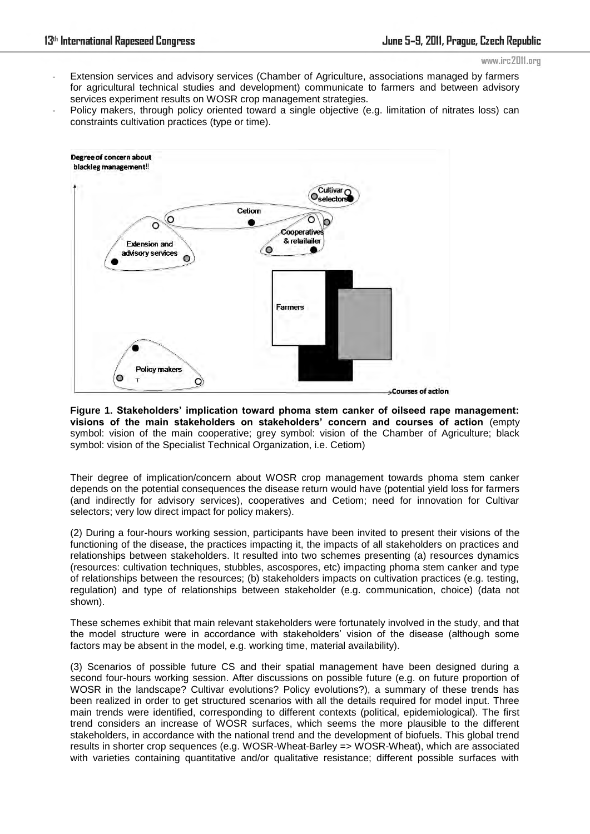- Extension services and advisory services (Chamber of Agriculture, associations managed by farmers for agricultural technical studies and development) communicate to farmers and between advisory services experiment results on WOSR crop management strategies.
- Policy makers, through policy oriented toward a single objective (e.g. limitation of nitrates loss) can constraints cultivation practices (type or time).



**Figure 1. Stakeholders' implication toward phoma stem canker of oilseed rape management: visions of the main stakeholders on stakeholders' concern and courses of action** (empty symbol: vision of the main cooperative; grey symbol: vision of the Chamber of Agriculture; black symbol: vision of the Specialist Technical Organization, i.e. Cetiom)

Their degree of implication/concern about WOSR crop management towards phoma stem canker depends on the potential consequences the disease return would have (potential yield loss for farmers (and indirectly for advisory services), cooperatives and Cetiom; need for innovation for Cultivar selectors; very low direct impact for policy makers).

(2) During a four-hours working session, participants have been invited to present their visions of the functioning of the disease, the practices impacting it, the impacts of all stakeholders on practices and relationships between stakeholders. It resulted into two schemes presenting (a) resources dynamics (resources: cultivation techniques, stubbles, ascospores, etc) impacting phoma stem canker and type of relationships between the resources; (b) stakeholders impacts on cultivation practices (e.g. testing, regulation) and type of relationships between stakeholder (e.g. communication, choice) (data not shown).

These schemes exhibit that main relevant stakeholders were fortunately involved in the study, and that the model structure were in accordance with stakeholders' vision of the disease (although some factors may be absent in the model, e.g. working time, material availability).

(3) Scenarios of possible future CS and their spatial management have been designed during a second four-hours working session. After discussions on possible future (e.g. on future proportion of WOSR in the landscape? Cultivar evolutions? Policy evolutions?), a summary of these trends has been realized in order to get structured scenarios with all the details required for model input. Three main trends were identified, corresponding to different contexts (political, epidemiological). The first trend considers an increase of WOSR surfaces, which seems the more plausible to the different stakeholders, in accordance with the national trend and the development of biofuels. This global trend results in shorter crop sequences (e.g. WOSR-Wheat-Barley => WOSR-Wheat), which are associated with varieties containing quantitative and/or qualitative resistance; different possible surfaces with